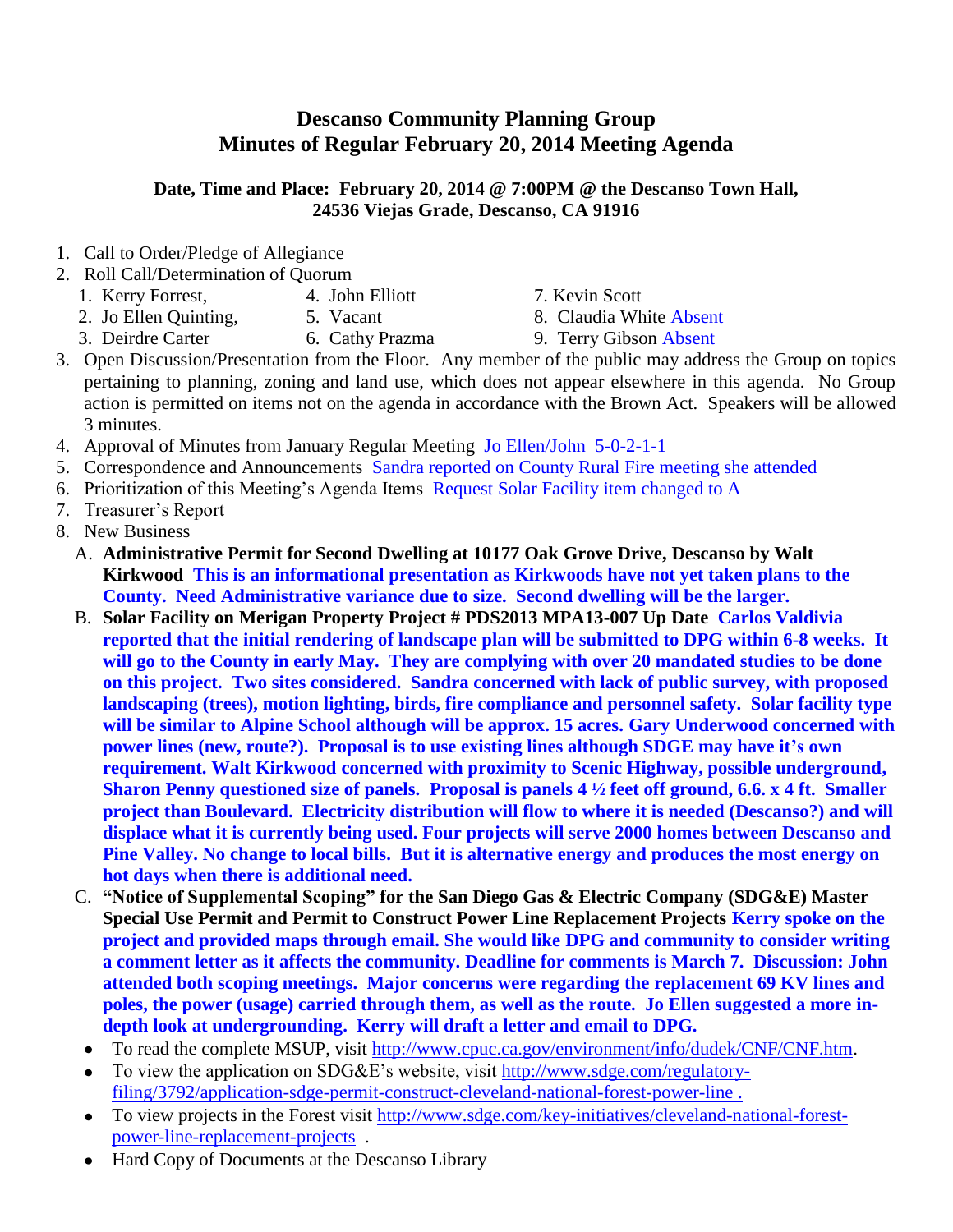## **Descanso Community Planning Group Minutes of Regular February 20, 2014 Meeting Agenda**

## **Date, Time and Place: February 20, 2014 @ 7:00PM @ the Descanso Town Hall, 24536 Viejas Grade, Descanso, CA 91916**

- 1. Call to Order/Pledge of Allegiance
- 2. Roll Call/Determination of Quorum
	- 1. Kerry Forrest, 4. John Elliott 7. Kevin Scott
	- 2. Jo Ellen Quinting, 5. Vacant 8. Claudia White Absent

3. Deirdre Carter 6. Cathy Prazma 9. Terry Gibson Absent

- 3. Open Discussion/Presentation from the Floor. Any member of the public may address the Group on topics pertaining to planning, zoning and land use, which does not appear elsewhere in this agenda. No Group action is permitted on items not on the agenda in accordance with the Brown Act. Speakers will be allowed 3 minutes.
- 4. Approval of Minutes from January Regular Meeting Jo Ellen/John 5-0-2-1-1
- 5. Correspondence and Announcements Sandra reported on County Rural Fire meeting she attended
- 6. Prioritization of this Meeting's Agenda Items Request Solar Facility item changed to A
- 7. Treasurer's Report
- 8. New Business
	- A. **Administrative Permit for Second Dwelling at 10177 Oak Grove Drive, Descanso by Walt Kirkwood This is an informational presentation as Kirkwoods have not yet taken plans to the County. Need Administrative variance due to size. Second dwelling will be the larger.**
	- B. **Solar Facility on Merigan Property Project # PDS2013 MPA13-007 Up Date Carlos Valdivia reported that the initial rendering of landscape plan will be submitted to DPG within 6-8 weeks. It will go to the County in early May. They are complying with over 20 mandated studies to be done on this project. Two sites considered. Sandra concerned with lack of public survey, with proposed landscaping (trees), motion lighting, birds, fire compliance and personnel safety. Solar facility type will be similar to Alpine School although will be approx. 15 acres. Gary Underwood concerned with power lines (new, route?). Proposal is to use existing lines although SDGE may have it's own requirement. Walt Kirkwood concerned with proximity to Scenic Highway, possible underground, Sharon Penny questioned size of panels. Proposal is panels 4 ½ feet off ground, 6.6. x 4 ft. Smaller project than Boulevard. Electricity distribution will flow to where it is needed (Descanso?) and will displace what it is currently being used. Four projects will serve 2000 homes between Descanso and Pine Valley. No change to local bills. But it is alternative energy and produces the most energy on hot days when there is additional need.**
	- C. **"Notice of Supplemental Scoping" for the San Diego Gas & Electric Company (SDG&E) Master Special Use Permit and Permit to Construct Power Line Replacement Projects Kerry spoke on the project and provided maps through email. She would like DPG and community to consider writing a comment letter as it affects the community. Deadline for comments is March 7. Discussion: John attended both scoping meetings. Major concerns were regarding the replacement 69 KV lines and poles, the power (usage) carried through them, as well as the route. Jo Ellen suggested a more indepth look at undergrounding. Kerry will draft a letter and email to DPG.**
		- To read the complete MSUP, visit [http://www.cpuc.ca.gov/environment/info/dudek/CNF/CNF.htm.](http://www.cpuc.ca.gov/environment/info/dudek/CNF/CNF.htm)  $\bullet$
		- To view the application on SDG&E's website, visit [http://www.sdge.com/regulatory](http://www.sdge.com/regulatory-filing/3792/application-sdge-permit-construct-cleveland-national-forest-power-line)[filing/3792/application-sdge-permit-construct-cleveland-national-forest-power-line .](http://www.sdge.com/regulatory-filing/3792/application-sdge-permit-construct-cleveland-national-forest-power-line)
	- To view projects in the Forest visit [http://www.sdge.com/key-initiatives/cleveland-national-forest](http://www.sdge.com/key-initiatives/cleveland-national-forest-power-line-replacement-projects)[power-line-replacement-projects](http://www.sdge.com/key-initiatives/cleveland-national-forest-power-line-replacement-projects) .
	- Hard Copy of Documents at the Descanso Library